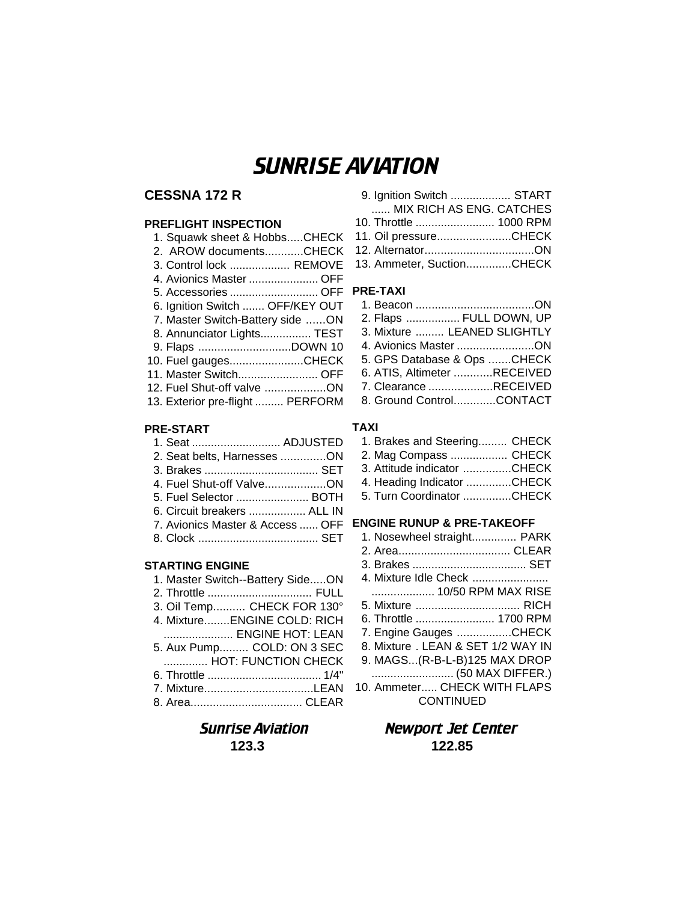# SUNRISE AVIATION

## **CESSNA 172 R**

## **PREFLIGHT INSPECTION**

| 1. Squawk sheet & HobbsCHECK     |
|----------------------------------|
| 2. AROW documentsCHECK           |
| 3. Control lock  REMOVE          |
| 4. Avionics Master  OFF          |
| 5. Accessories  OFF              |
| 6. Ignition Switch  OFF/KEY OUT  |
| 7. Master Switch-Battery side ON |
| 8. Annunciator Lights TEST       |
|                                  |
| 10. Fuel gaugesCHECK             |
| 11. Master Switch OFF            |
| 12. Fuel Shut-off valve ON       |
| 13. Exterior pre-flight  PERFORM |
|                                  |

## **PRE-START**

| 1. Seat  ADJUSTED                |  |
|----------------------------------|--|
| 2. Seat belts, Harnesses ON      |  |
|                                  |  |
| 4. Fuel Shut-off ValveON         |  |
| 5. Fuel Selector  BOTH           |  |
| 6. Circuit breakers  ALL IN      |  |
| 7. Avionics Master & Access  OFF |  |
|                                  |  |

### **STARTING ENGINE**

| 1. Master Switch--Battery SideON |
|----------------------------------|
|                                  |
| 3. Oil Temp CHECK FOR 130°       |
| 4. MixtureENGINE COLD: RICH      |
| ENGINE HOT: LEAN                 |
| 5. Aux Pump COLD: ON 3 SEC       |
| HOT: FUNCTION CHECK              |
|                                  |
| 7. MixtureLEAN                   |
|                                  |

| 9. Ignition Switch  START |  |
|---------------------------|--|
| MIX RICH AS ENG. CATCHES  |  |
| 10. Throttle  1000 RPM    |  |
| 11. Oil pressureCHECK     |  |

12. Alternator..................................ON 13. Ammeter, Suction..............CHECK

## **PRE-TAXI**

| 2. Flaps  FULL DOWN, UP     |
|-----------------------------|
| 3. Mixture  LEANED SLIGHTLY |
| 4. Avionics Master ON       |
| 5. GPS Database & Ops CHECK |
| 6. ATIS, Altimeter RECEIVED |
| 7. Clearance RECEIVED       |
| 8. Ground ControlCONTACT    |
|                             |

### **TAXI**

| 1. Brakes and Steering CHECK |  |
|------------------------------|--|
| 2. Mag Compass  CHECK        |  |
| 3. Attitude indicator CHECK  |  |
| 4. Heading Indicator CHECK   |  |
| 5. Turn Coordinator CHECK    |  |

## **ENGINE RUNUP & PRE-TAKEOFF**

| 1. Nosewheel straight PARK        |  |
|-----------------------------------|--|
|                                   |  |
|                                   |  |
| 4. Mixture Idle Check             |  |
| 10/50 RPM MAX RISE                |  |
| 5. Mixture  RICH                  |  |
| 6. Throttle  1700 RPM             |  |
| 7. Engine Gauges CHECK            |  |
| 8. Mixture, LEAN & SET 1/2 WAY IN |  |
| 9. MAGS(R-B-L-B)125 MAX DROP      |  |
|                                   |  |
| 10. Ammeter CHECK WITH FLAPS      |  |
| <b>CONTINUED</b>                  |  |

## Sunrise Aviation Newport Jet Center **123.3 122.85**